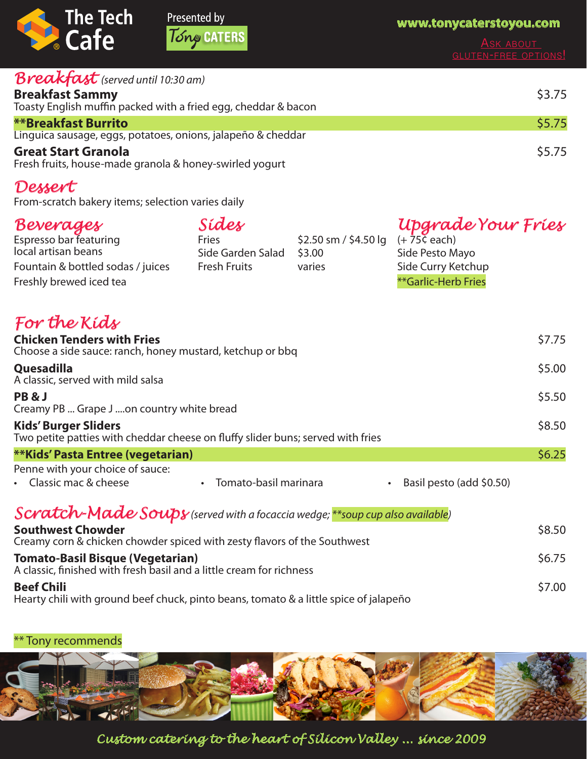

### Presented by Tony CATERS

**www.tonycaterstoyou.com**

| ASK ABOUT                   |  |
|-----------------------------|--|
| <b>GLUTEN-FREE OPTIONS!</b> |  |

| <b>Breakfast</b> (served until 10:30 am)                       |        |
|----------------------------------------------------------------|--------|
| <b>Breakfast Sammy</b>                                         | \$3.75 |
| Toasty English muffin packed with a fried egg, cheddar & bacon |        |
| <b>**Breakfast Burrito</b>                                     | \$5.75 |
| Linguica sausage, eggs, potatoes, onions, jalapeño & cheddar   |        |
| <b>Great Start Granola</b>                                     | \$5.75 |
| Fresh fruits, house-made granola & honey-swirled yogurt        |        |

#### *Dessert*

From-scratch bakery items; selection varies daily

| Beverages                         | Sides               |                                            | Upgrade Your Fries  |
|-----------------------------------|---------------------|--------------------------------------------|---------------------|
| Espresso bar featuring            | Fries               | \$2.50 sm / \$4.50 lg $(+ 75\bar{c}$ each) |                     |
| local artisan beans               | Side Garden Salad   | \$3.00                                     | Side Pesto Mayo     |
| Fountain & bottled sodas / juices | <b>Fresh Fruits</b> | varies                                     | Side Curry Ketchup  |
| Freshly brewed iced tea           |                     |                                            | **Garlic-Herb Fries |

## *For the Kids*

| <b>Chicken Tenders with Fries</b><br>Choose a side sauce: ranch, honey mustard, ketchup or bbq                 |                         |                                       | \$7.75 |
|----------------------------------------------------------------------------------------------------------------|-------------------------|---------------------------------------|--------|
| Quesadilla<br>A classic, served with mild salsa                                                                |                         |                                       | \$5.00 |
| PB&J<br>Creamy PB  Grape J on country white bread                                                              |                         |                                       | \$5.50 |
| <b>Kids' Burger Sliders</b><br>Two petite patties with cheddar cheese on fluffy slider buns; served with fries |                         |                                       | \$8.50 |
| <b>**Kids' Pasta Entree (vegetarian)</b>                                                                       |                         |                                       | \$6.25 |
| Penne with your choice of sauce:<br>• Classic mac & cheese                                                     | • Tomato-basil marinara | Basil pesto (add \$0.50)<br>$\bullet$ |        |
| Scratch-Made Soups (served with a focaccia wedge; ** soup cup also available)                                  |                         |                                       |        |
| <b>Southwest Chowder</b>                                                                                       |                         |                                       | \$8.50 |

Creamy corn & chicken chowder spiced with zesty flavors of the Southwest **Tomato-Basil Bisque (Vegetarian)** \$6.75 A classic, finished with fresh basil and a little cream for richness **Beef Chili** \$7.00

Hearty chili with ground beef chuck, pinto beans, tomato & a little spice of jalapeño

\*\* Tony recommends



*Custom catering to the heart of Silicon Valley ... since 2009*